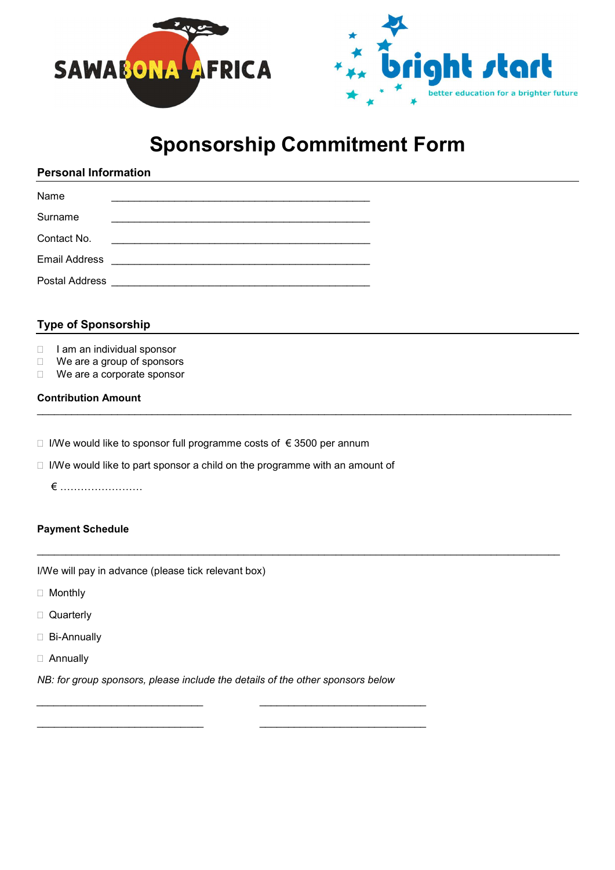



# Sponsorship Commitment Form

# Personal Information

| Name                  |                                                                                                                        |
|-----------------------|------------------------------------------------------------------------------------------------------------------------|
| Surname               |                                                                                                                        |
| Contact No.           | <u> 1980 - Jan Barbara, manazarta bashkar a shekara ta 1980 ha tsara tsara tsara tsara tsara tsara tsara tsara tsa</u> |
| <b>Email Address</b>  |                                                                                                                        |
| <b>Postal Address</b> |                                                                                                                        |

## Type of Sponsorship

- $\Box$  I am an individual sponsor
- □ We are a group of sponsors
- □ We are a corporate sponsor

#### Contribution Amount

- $□$  I/We would like to sponsor full programme costs of €3500 per annum
- $\Box$  I/We would like to part sponsor a child on the programme with an amount of
	- € ……………………

## Payment Schedule

I/We will pay in advance (please tick relevant box)

- Monthly
- □ Quarterly
- □ Bi-Annually
- Annually

NB: for group sponsors, please include the details of the other sponsors below

 $\frac{1}{2}$  , and the set of the set of the set of the set of the set of the set of the set of the set of the set of the set of the set of the set of the set of the set of the set of the set of the set of the set of the set

\_\_\_\_\_\_\_\_\_\_\_\_\_\_\_\_\_\_\_\_\_\_\_\_\_\_\_\_\_ \_\_\_\_\_\_\_\_\_\_\_\_\_\_\_\_\_\_\_\_\_\_\_\_\_\_\_\_\_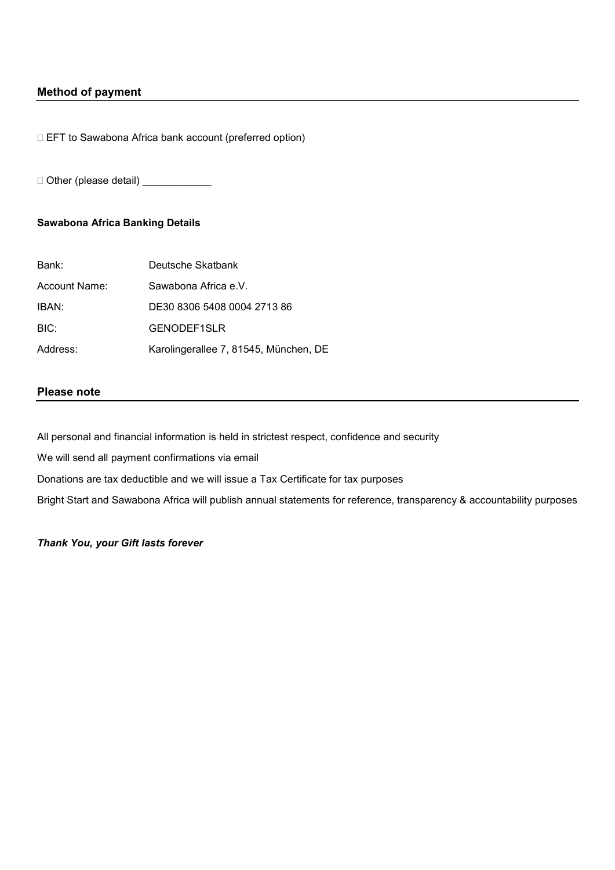## Method of payment

□ EFT to Sawabona Africa bank account (preferred option)

□ Other (please detail) \_\_\_\_\_\_\_\_\_\_\_\_\_\_

## Sawabona Africa Banking Details

| Bank:         | Deutsche Skatbank                     |
|---------------|---------------------------------------|
| Account Name: | Sawabona Africa e V.                  |
| IBAN:         | DE30 8306 5408 0004 2713 86           |
| BIC:          | GENODEF1SLR                           |
| Address:      | Karolingerallee 7, 81545, München, DE |

#### Please note

All personal and financial information is held in strictest respect, confidence and security We will send all payment confirmations via email Donations are tax deductible and we will issue a Tax Certificate for tax purposes

Bright Start and Sawabona Africa will publish annual statements for reference, transparency & accountability purposes

Thank You, your Gift lasts forever